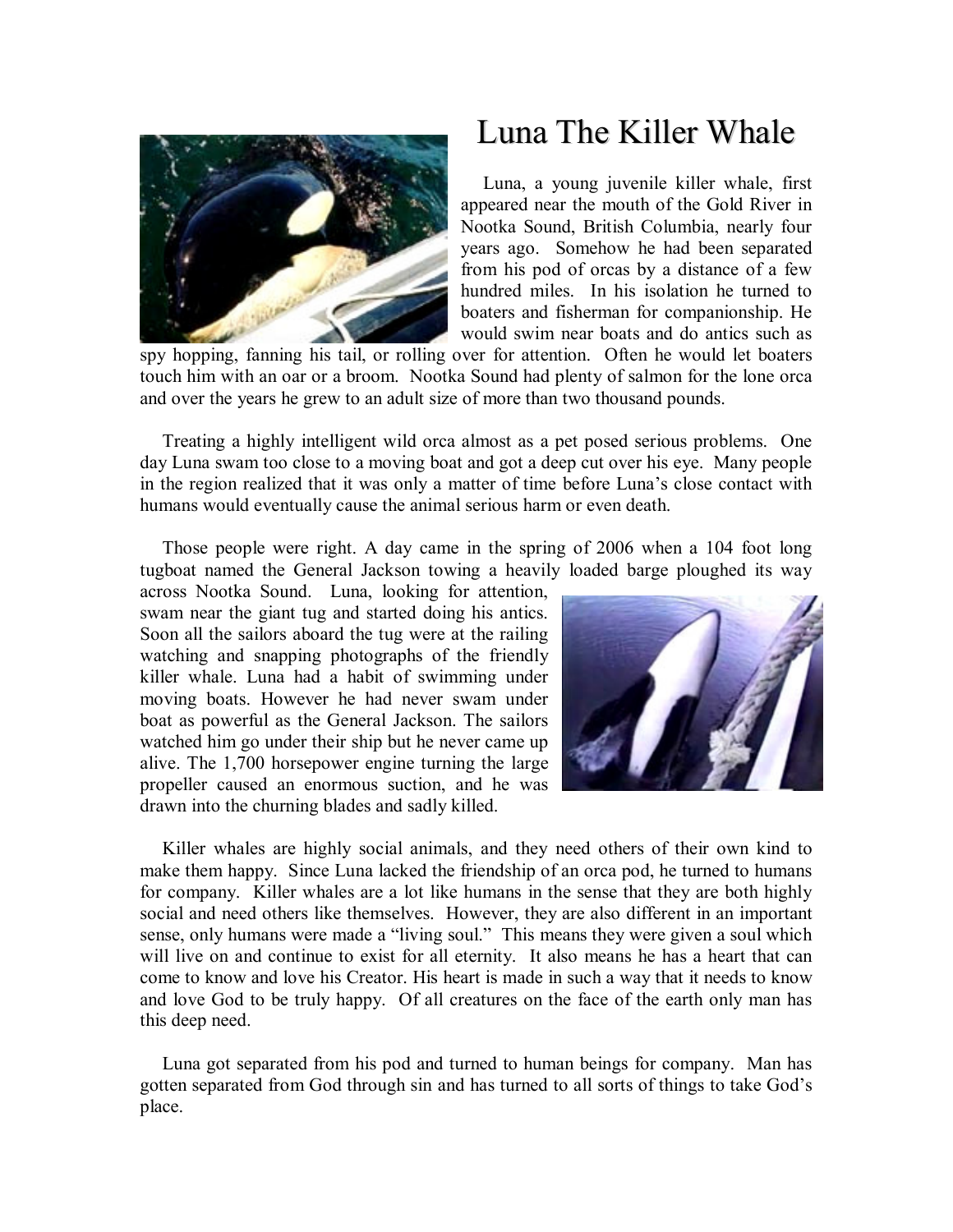

## Luna The Killer Whale

Luna, a young juvenile killer whale, first appeared near the mouth of the Gold River in Nootka Sound, British Columbia, nearly four years ago. Somehow he had been separated from his pod of orcas by a distance of a few hundred miles. In his isolation he turned to boaters and fisherman for companionship. He would swim near boats and do antics such as

spy hopping, fanning his tail, or rolling over for attention. Often he would let boaters touch him with an oar or a broom. Nootka Sound had plenty of salmon for the lone orca and over the years he grew to an adult size of more than two thousand pounds.

Treating a highly intelligent wild orca almost as a pet posed serious problems. One day Luna swam too close to a moving boat and got a deep cut over his eye. Many people in the region realized that it was only a matter of time before Luna's close contact with humans would eventually cause the animal serious harm or even death.

Those people were right. A day came in the spring of 2006 when a 104 foot long tugboat named the General Jackson towing a heavily loaded barge ploughed its way

across Nootka Sound. Luna, looking for attention, swam near the giant tug and started doing his antics. Soon all the sailors aboard the tug were at the railing watching and snapping photographs of the friendly killer whale. Luna had a habit of swimming under moving boats. However he had never swam under boat as powerful as the General Jackson. The sailors watched him go under their ship but he never came up alive. The 1,700 horsepower engine turning the large propeller caused an enormous suction, and he was drawn into the churning blades and sadly killed.



Killer whales are highly social animals, and they need others of their own kind to make them happy. Since Luna lacked the friendship of an orca pod, he turned to humans for company. Killer whales are a lot like humans in the sense that they are both highly social and need others like themselves. However, they are also different in an important sense, only humans were made a "living soul." This means they were given a soul which will live on and continue to exist for all eternity. It also means he has a heart that can come to know and love his Creator. His heart is made in such a way that it needs to know and love God to be truly happy. Of all creatures on the face of the earth only man has this deep need.

Luna got separated from his pod and turned to human beings for company. Man has gotten separated from God through sin and has turned to all sorts of things to take God's place.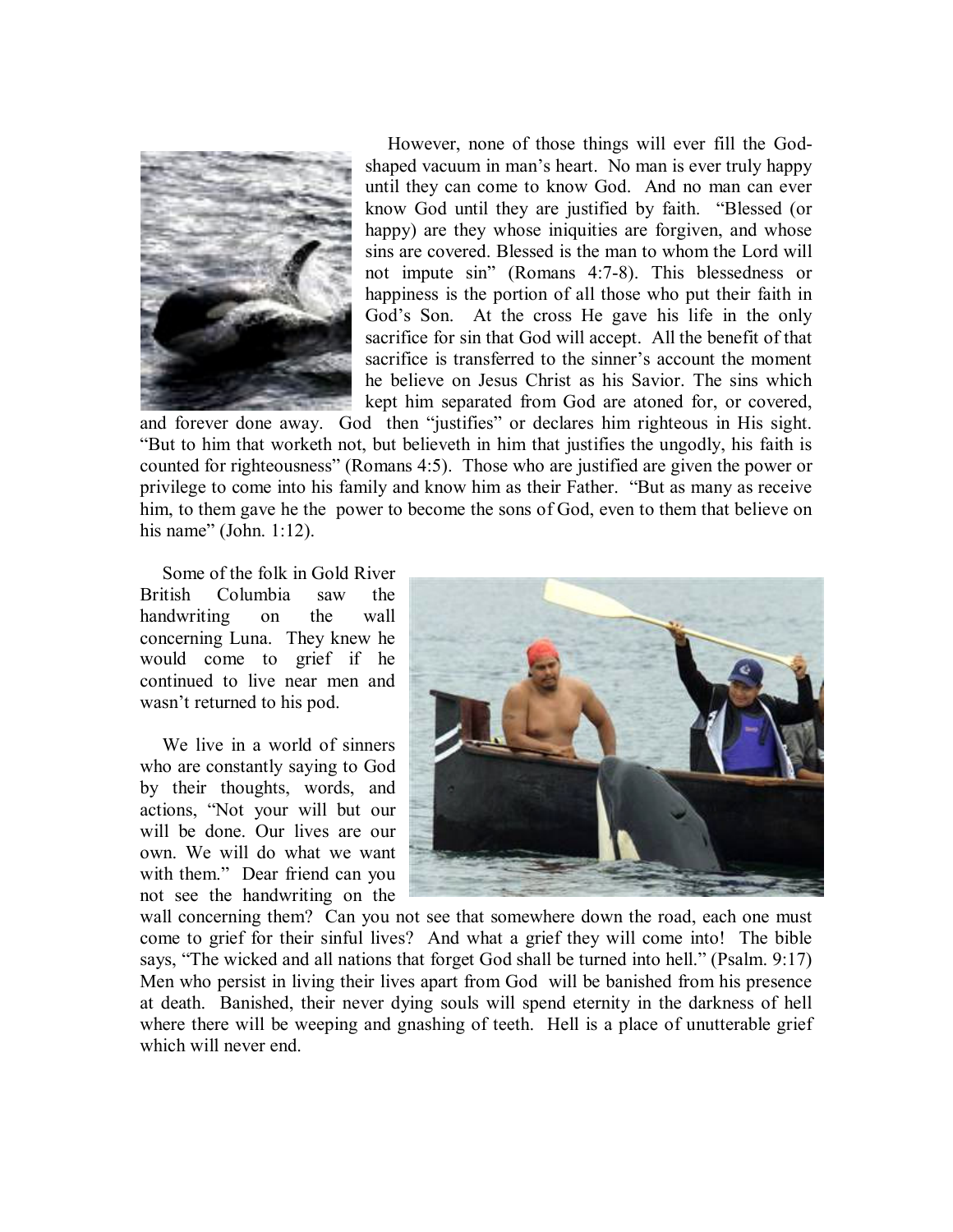

However, none of those things will ever fill the Godshaped vacuum in man's heart. No man is ever truly happy until they can come to know God. And no man can ever know God until they are justified by faith. "Blessed (or happy) are they whose iniquities are forgiven, and whose sins are covered. Blessed is the man to whom the Lord will not impute sin" (Romans 4:7-8). This blessedness or happiness is the portion of all those who put their faith in God's Son. At the cross He gave his life in the only sacrifice for sin that God will accept. All the benefit of that sacrifice is transferred to the sinner's account the moment he believe on Jesus Christ as his Savior. The sins which kept him separated from God are atoned for, or covered,

and forever done away. God then "justifies" or declares him righteous in His sight. "But to him that worketh not, but believeth in him that justifies the ungodly, his faith is counted for righteousness" (Romans 4:5). Those who are justified are given the power or privilege to come into his family and know him as their Father. "But as many as receive him, to them gave he the power to become the sons of God, even to them that believe on his name" (John. 1:12).

Some of the folk in Gold River British Columbia saw the handwriting on the wall concerning Luna. They knew he would come to grief if he continued to live near men and wasn't returned to his pod.

We live in a world of sinners who are constantly saying to God by their thoughts, words, and actions, "Not your will but our will be done. Our lives are our own. We will do what we want with them." Dear friend can you not see the handwriting on the



wall concerning them? Can you not see that somewhere down the road, each one must come to grief for their sinful lives? And what a grief they will come into! The bible says, "The wicked and all nations that forget God shall be turned into hell." (Psalm. 9:17) Men who persist in living their lives apart from God will be banished from his presence at death. Banished, their never dying souls will spend eternity in the darkness of hell where there will be weeping and gnashing of teeth. Hell is a place of unutterable grief which will never end.